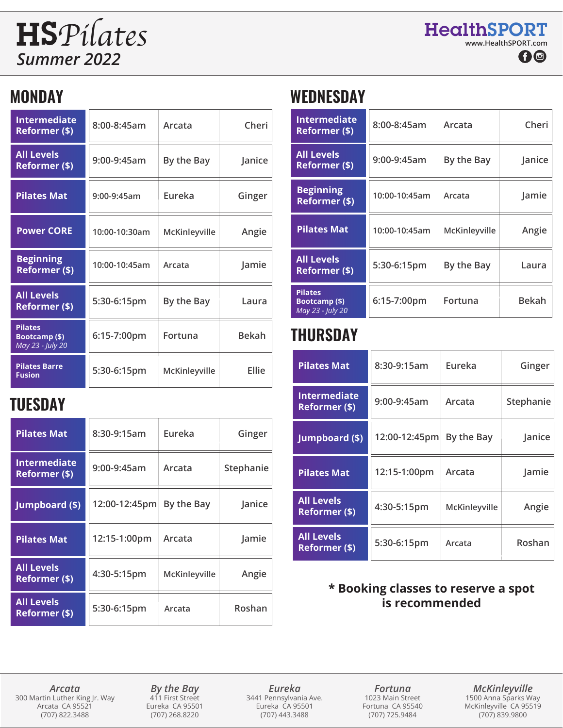# *Summer 2022*

## **MONDAY**

| <b>Intermediate</b><br>Reformer (\$)                | 8:00-8:45am   | Arcata        | Cheri        | Intermediate<br>Reformer (\$)                              |
|-----------------------------------------------------|---------------|---------------|--------------|------------------------------------------------------------|
| <b>All Levels</b><br>Reformer (\$)                  | 9:00-9:45am   | By the Bay    | Janice       | <b>All Levels</b><br>Reformer (\$)                         |
| <b>Pilates Mat</b>                                  | 9:00-9:45am   | Eureka        | Ginger       | <b>Beginning</b><br>Reformer (\$)                          |
| <b>Power CORE</b>                                   | 10:00-10:30am | McKinleyville | Angie        | <b>Pilates Mat</b>                                         |
| <b>Beginning</b><br>Reformer (\$)                   | 10:00-10:45am | Arcata        | Jamie        | <b>All Levels</b><br>Reformer (\$)                         |
| <b>All Levels</b><br>Reformer (\$)                  | 5:30-6:15pm   | By the Bay    | Laura        | <b>Pilates</b><br><b>Bootcamp (\$)</b><br>May 23 - July 20 |
| <b>Pilates</b><br>Bootcamp (\$)<br>May 23 - July 20 | 6:15-7:00pm   | Fortuna       | <b>Bekah</b> | <b>THURSDAY</b>                                            |
| <b>Pilates Barre</b><br><b>Fusion</b>               | 5:30-6:15pm   | McKinleyville | Ellie        | <b>Pilates Mat</b>                                         |
|                                                     |               |               |              |                                                            |

## **TUESDAY**

| <b>Pilates Mat</b>                   | 8:30-9:15am   | Eureka        | Ginger    |
|--------------------------------------|---------------|---------------|-----------|
| <b>Intermediate</b><br>Reformer (\$) | 9:00-9:45am   | Arcata        | Stephanie |
| Jumpboard (\$)                       | 12:00-12:45pm | By the Bay    | Janice    |
| <b>Pilates Mat</b>                   | 12:15-1:00pm  | Arcata        | Jamie     |
| <b>All Levels</b><br>Reformer (\$)   | 4:30-5:15pm   | McKinleyville | Angie     |
| <b>All Levels</b><br>Reformer (\$)   | 5:30-6:15pm   | Arcata        | Roshan    |

## **WEDNESDAY**

| Intermediate<br><b>Reformer (\$)</b> | 8:00-8:45am   | Arcata        | Cheri  | <b>Intermediate</b><br>Reformer (\$)                | $8:00 - 8:45$ am | Arcata        | Cheri        |
|--------------------------------------|---------------|---------------|--------|-----------------------------------------------------|------------------|---------------|--------------|
| <b>All Levels</b><br>Reformer (\$)   | $9:00-9:45am$ | By the Bay    | Janice | <b>All Levels</b><br>Reformer (\$)                  | 9:00-9:45am      | By the Bay    | Janice       |
| <b>Pilates Mat</b>                   | 9:00-9:45am   | Eureka        | Ginger | <b>Beginning</b><br>Reformer (\$)                   | 10:00-10:45am    | Arcata        | Jamie        |
| <b>Power CORE</b>                    | 10:00-10:30am | McKinleyville | Angie  | <b>Pilates Mat</b>                                  | 10:00-10:45am    | McKinleyville | Angie        |
| <b>Beginning</b><br>Reformer (\$)    | 10:00-10:45am | Arcata        | Jamie  | <b>All Levels</b><br>Reformer (\$)                  | 5:30-6:15pm      | By the Bay    | Laura        |
| <b>All Levels</b><br>Reformer (\$)   | 5:30-6:15pm   | By the Bay    | Laura  | <b>Pilates</b><br>Bootcamp (\$)<br>May 23 - July 20 | 6:15-7:00pm      | Fortuna       | <b>Bekah</b> |

## **THURSDAY**

| <b>Pilates Mat</b>                        | 8:30-9:15am   | Eureka        | Ginger    |
|-------------------------------------------|---------------|---------------|-----------|
| Intermediate<br>Reformer (\$)             | 9:00-9:45am   | Arcata        | Stephanie |
| Jumpboard (\$)                            | 12:00-12:45pm | By the Bay    | Janice    |
| <b>Pilates Mat</b>                        | 12:15-1:00pm  | Arcata        | Jamie     |
| <b>All Levels</b><br>Reformer (\$)        | 4:30-5:15pm   | McKinleyville | Angie     |
| <b>All Levels</b><br><b>Reformer (\$)</b> | 5:30-6:15pm   | Arcata        | Roshan    |

#### **\* Booking classes to reserve a spot is recommended**

*Arcata* 300 Martin Luther King Jr. Way Arcata CA 95521 (707) 822.3488

*By the Bay* 411 First Street Eureka CA 95501 (707) 268.8220

*Eureka* 3441 Pennsylvania Ave. Eureka CA 95501 (707) 443.3488

*Fortuna* 1023 Main Street Fortuna CA 95540 (707) 725.9484

*McKinleyville* 1500 Anna Sparks Way McKinleyville CA 95519 (707) 839.9800